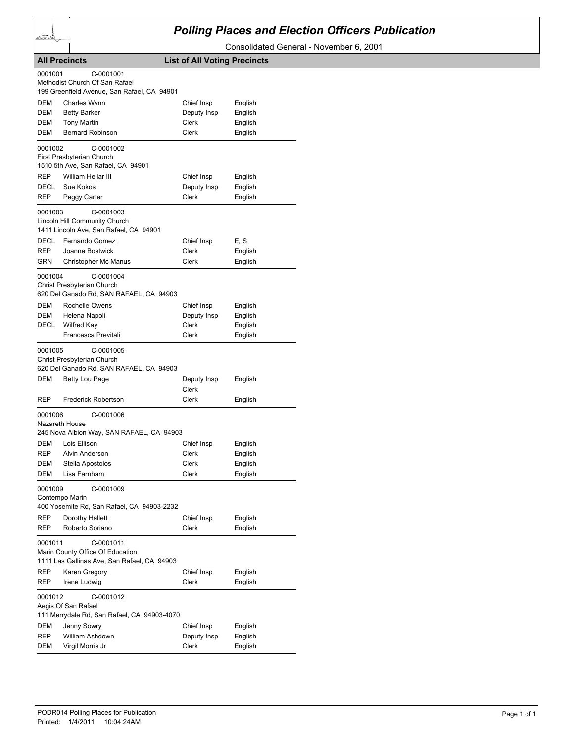

## *Polling Places and Election Officers Publication*

Consolidated General - November 6, 2001

|            | <b>All Precincts</b>                                                                         | <b>List of All Voting Precincts</b> |         |  |  |
|------------|----------------------------------------------------------------------------------------------|-------------------------------------|---------|--|--|
| 0001001    | C-0001001<br>Methodist Church Of San Rafael<br>199 Greenfield Avenue, San Rafael, CA 94901   |                                     |         |  |  |
| <b>DEM</b> | Charles Wynn                                                                                 | Chief Insp                          | English |  |  |
| DEM        | <b>Betty Barker</b>                                                                          | Deputy Insp                         | English |  |  |
| DEM        | <b>Tony Martin</b>                                                                           | Clerk                               | English |  |  |
| DEM        | <b>Bernard Robinson</b>                                                                      | <b>Clerk</b>                        | English |  |  |
| 0001002    | C-0001002<br>First Presbyterian Church                                                       |                                     |         |  |  |
|            | 1510 5th Ave, San Rafael, CA 94901                                                           |                                     |         |  |  |
| <b>REP</b> | William Hellar III                                                                           | Chief Insp                          | English |  |  |
| DECL       | Sue Kokos                                                                                    | Deputy Insp                         | English |  |  |
| REP        | Peggy Carter                                                                                 | Clerk                               | English |  |  |
| 0001003    | C-0001003<br>Lincoln Hill Community Church<br>1411 Lincoln Ave, San Rafael, CA 94901         |                                     |         |  |  |
| DECL       | Fernando Gomez                                                                               | Chief Insp                          | E, S    |  |  |
| REP        | Joanne Bostwick                                                                              | Clerk                               | English |  |  |
| GRN        | Christopher Mc Manus                                                                         | Clerk                               | English |  |  |
| 0001004    | C-0001004<br>Christ Presbyterian Church<br>620 Del Ganado Rd, SAN RAFAEL, CA 94903           |                                     |         |  |  |
| DEM        | Rochelle Owens                                                                               | Chief Insp                          | English |  |  |
| DEM        | Helena Napoli                                                                                | Deputy Insp                         | English |  |  |
| DECL       | <b>Wilfred Kay</b>                                                                           | Clerk                               | English |  |  |
|            | Francesca Previtali                                                                          | Clerk                               | English |  |  |
| 0001005    | C-0001005<br>Christ Presbyterian Church<br>620 Del Ganado Rd, SAN RAFAEL, CA 94903           |                                     |         |  |  |
| DEM        | Betty Lou Page                                                                               | Deputy Insp<br>Clerk                | English |  |  |
| REP        | <b>Frederick Robertson</b>                                                                   | Clerk                               | English |  |  |
| 0001006    | C-0001006<br>Nazareth House                                                                  |                                     |         |  |  |
|            | 245 Nova Albion Way, SAN RAFAEL, CA 94903                                                    |                                     |         |  |  |
| DEM        | Lois Ellison                                                                                 | Chief Insp                          | English |  |  |
| <b>REP</b> | Alvin Anderson                                                                               | Clerk                               | English |  |  |
| <b>DEM</b> | Stella Apostolos                                                                             | Clerk                               | English |  |  |
| DEM        | Lisa Farnham                                                                                 | Clerk                               | English |  |  |
| 0001009    | C-0001009<br>Contempo Marin<br>400 Yosemite Rd, San Rafael, CA 94903-2232                    |                                     |         |  |  |
| REP        | Dorothy Hallett                                                                              | Chief Insp                          | English |  |  |
| REP        | Roberto Soriano                                                                              | Clerk                               | English |  |  |
| 0001011    | C-0001011<br>Marin County Office Of Education<br>1111 Las Gallinas Ave, San Rafael, CA 94903 |                                     |         |  |  |
| REP        | Karen Gregory                                                                                | Chief Insp                          | English |  |  |
| REP        | Irene Ludwig                                                                                 | Clerk                               | English |  |  |
|            | 0001012<br>C-0001012<br>Aegis Of San Rafael<br>111 Merrydale Rd, San Rafael, CA 94903-4070   |                                     |         |  |  |
| DEM        | Jenny Sowry                                                                                  | Chief Insp                          | English |  |  |
| REP        | William Ashdown                                                                              | Deputy Insp                         | English |  |  |
| DEM        | Virgil Morris Jr                                                                             | Clerk                               | English |  |  |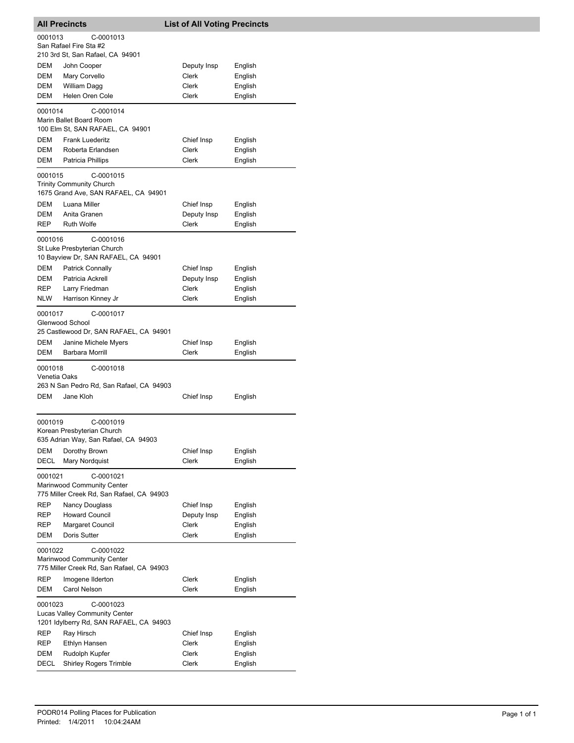| <b>All Precincts</b>                   |                                                                                       | <b>List of All Voting Precincts</b>         |                                          |
|----------------------------------------|---------------------------------------------------------------------------------------|---------------------------------------------|------------------------------------------|
| 0001013                                | C-0001013<br>San Rafael Fire Sta #2<br>210 3rd St, San Rafael, CA 94901               |                                             |                                          |
| DEM<br>DEM<br>DEM<br>DEM               | John Cooper<br>Mary Corvello<br>William Dagg<br>Helen Oren Cole                       | Deputy Insp<br>Clerk<br>Clerk<br>Clerk      | English<br>English<br>English<br>English |
| 0001014                                | C-0001014<br>Marin Ballet Board Room<br>100 Elm St, SAN RAFAEL, CA 94901              |                                             |                                          |
| DEM<br>DEM<br>DEM                      | <b>Frank Luederitz</b><br>Roberta Erlandsen<br>Patricia Phillips                      | Chief Insp<br>Clerk<br>Clerk                | English<br>English<br>English            |
| 0001015                                | C-0001015<br><b>Trinity Community Church</b><br>1675 Grand Ave, SAN RAFAEL, CA 94901  |                                             |                                          |
| DEM<br>DEM<br><b>REP</b>               | Luana Miller<br>Anita Granen<br><b>Ruth Wolfe</b>                                     | Chief Insp<br>Deputy Insp<br>Clerk          | English<br>English<br>English            |
| 0001016                                | C-0001016<br>St Luke Presbyterian Church<br>10 Bayview Dr, SAN RAFAEL, CA 94901       |                                             |                                          |
| DEM<br>DEM<br><b>REP</b><br><b>NLW</b> | <b>Patrick Connally</b><br>Patricia Ackrell<br>Larry Friedman<br>Harrison Kinney Jr   | Chief Insp<br>Deputy Insp<br>Clerk<br>Clerk | English<br>English<br>English<br>English |
| 0001017                                | C-0001017<br>Glenwood School<br>25 Castlewood Dr, SAN RAFAEL, CA 94901                |                                             |                                          |
| DEM<br>DEM                             | Janine Michele Myers<br>Barbara Morrill                                               | Chief Insp<br>Clerk                         | English<br>English                       |
| 0001018<br>Venetia Oaks                | C-0001018<br>263 N San Pedro Rd, San Rafael, CA 94903                                 |                                             |                                          |
| <b>DEM</b>                             | Jane Kloh                                                                             | Chief Insp                                  | English                                  |
| 0001019                                | C-0001019<br>Korean Presbyterian Church<br>635 Adrian Way, San Rafael, CA 94903       |                                             |                                          |
| DEM<br>DECL                            | Dorothy Brown<br>Mary Nordquist                                                       | Chief Insp<br>Clerk                         | English<br>English                       |
| 0001021                                | C-0001021<br>Marinwood Community Center<br>775 Miller Creek Rd, San Rafael, CA 94903  |                                             |                                          |
| REP<br>REP<br>REP<br>DEM               | <b>Nancy Douglass</b><br><b>Howard Council</b><br>Margaret Council<br>Doris Sutter    | Chief Insp<br>Deputy Insp<br>Clerk<br>Clerk | English<br>English<br>English<br>English |
| 0001022                                | C-0001022<br>Marinwood Community Center<br>775 Miller Creek Rd, San Rafael, CA 94903  |                                             |                                          |
| REP<br>DEM                             | Imogene Ilderton<br>Carol Nelson                                                      | Clerk<br>Clerk                              | English<br>English                       |
| 0001023                                | C-0001023<br>Lucas Valley Community Center<br>1201 Idylberry Rd, SAN RAFAEL, CA 94903 |                                             |                                          |
| REP<br>REP<br>DEM<br>DECL              | Ray Hirsch<br>Ethlyn Hansen<br>Rudolph Kupfer<br><b>Shirley Rogers Trimble</b>        | Chief Insp<br>Clerk<br>Clerk<br>Clerk       | English<br>English<br>English<br>English |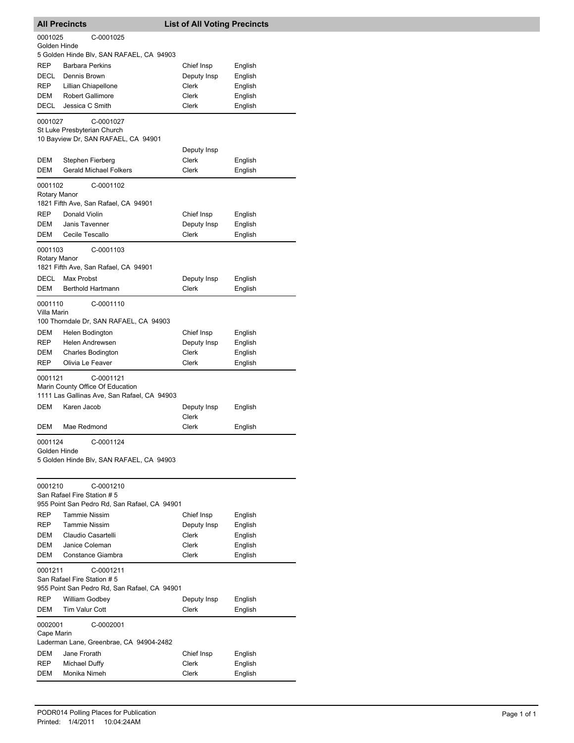|                         | <b>All Precincts</b>                                                                         | <b>List of All Voting Precincts</b> |                    |
|-------------------------|----------------------------------------------------------------------------------------------|-------------------------------------|--------------------|
| 0001025<br>Golden Hinde | C-0001025                                                                                    |                                     |                    |
|                         | 5 Golden Hinde Blv, SAN RAFAEL, CA 94903                                                     |                                     |                    |
| <b>REP</b>              | <b>Barbara Perkins</b>                                                                       | Chief Insp                          | English            |
| <b>DECL</b>             | Dennis Brown                                                                                 | Deputy Insp                         | English            |
| REP                     | Lillian Chiapellone                                                                          | Clerk                               | English            |
| DEM                     | <b>Robert Gallimore</b>                                                                      | Clerk                               | English            |
| DECL                    | Jessica C Smith                                                                              | Clerk                               | English            |
| 0001027                 | C-0001027<br>St Luke Presbyterian Church                                                     |                                     |                    |
|                         | 10 Bayview Dr, SAN RAFAEL, CA 94901                                                          |                                     |                    |
| DEM                     |                                                                                              | Deputy Insp<br>Clerk                |                    |
| DEM                     | Stephen Fierberg<br><b>Gerald Michael Folkers</b>                                            | Clerk                               | English<br>English |
| 0001102                 | C-0001102                                                                                    |                                     |                    |
| Rotary Manor            | 1821 Fifth Ave, San Rafael, CA 94901                                                         |                                     |                    |
| REP                     | Donald Violin                                                                                | Chief Insp                          | English            |
| DEM                     | Janis Tavenner                                                                               | Deputy Insp                         | English            |
| DEM                     | Cecile Tescallo                                                                              | <b>Clerk</b>                        | English            |
| 0001103                 | C-0001103                                                                                    |                                     |                    |
| Rotary Manor            | 1821 Fifth Ave, San Rafael, CA 94901                                                         |                                     |                    |
| DECL                    | Max Probst                                                                                   | Deputy Insp                         | English            |
| DEM                     | <b>Berthold Hartmann</b>                                                                     | Clerk                               | English            |
| 0001110<br>Villa Marin  | C-0001110                                                                                    |                                     |                    |
|                         | 100 Thorndale Dr, SAN RAFAEL, CA 94903                                                       |                                     |                    |
| DEM                     | Helen Bodington                                                                              | Chief Insp                          | English            |
| REP                     | Helen Andrewsen                                                                              | Deputy Insp                         | English            |
| DEM                     | <b>Charles Bodington</b>                                                                     | Clerk                               | English            |
| <b>REP</b>              | Olivia Le Feaver                                                                             | Clerk                               | English            |
| 0001121                 | C-0001121<br>Marin County Office Of Education<br>1111 Las Gallinas Ave, San Rafael, CA 94903 |                                     |                    |
| DEM                     | Karen Jacob                                                                                  | Deputy Insp                         | English            |
|                         |                                                                                              | Clerk                               |                    |
| DEM                     | Mae Redmond                                                                                  | Clerk                               | English            |
| 0001124                 | C-0001124                                                                                    |                                     |                    |
| Golden Hinde            | 5 Golden Hinde Blv, SAN RAFAEL, CA 94903                                                     |                                     |                    |
| 0001210                 | C-0001210<br>San Rafael Fire Station #5<br>955 Point San Pedro Rd, San Rafael, CA 94901      |                                     |                    |
| REP                     | <b>Tammie Nissim</b>                                                                         | Chief Insp                          | English            |
| <b>REP</b>              | Tammie Nissim                                                                                | Deputy Insp                         | English            |
| DEM                     | Claudio Casartelli                                                                           | Clerk                               | English            |
| DEM                     | Janice Coleman                                                                               | Clerk                               | English            |
| DEM                     | Constance Giambra                                                                            | Clerk                               | English            |
| 0001211                 | C-0001211<br>San Rafael Fire Station # 5                                                     |                                     |                    |
|                         | 955 Point San Pedro Rd, San Rafael, CA 94901                                                 |                                     |                    |
| REP<br>DEM              | William Godbey<br>Tim Valur Cott                                                             | Deputy Insp<br>Clerk                | English<br>English |
| 0002001                 | C-0002001                                                                                    |                                     |                    |
| Cape Marin              |                                                                                              |                                     |                    |
| <b>DEM</b>              | Laderman Lane, Greenbrae, CA 94904-2482<br>Jane Frorath                                      |                                     |                    |
| <b>REP</b>              | Michael Duffy                                                                                | Chief Insp<br>Clerk                 | English<br>English |
| DEM                     | Monika Nimeh                                                                                 | Clerk                               | English            |
|                         |                                                                                              |                                     |                    |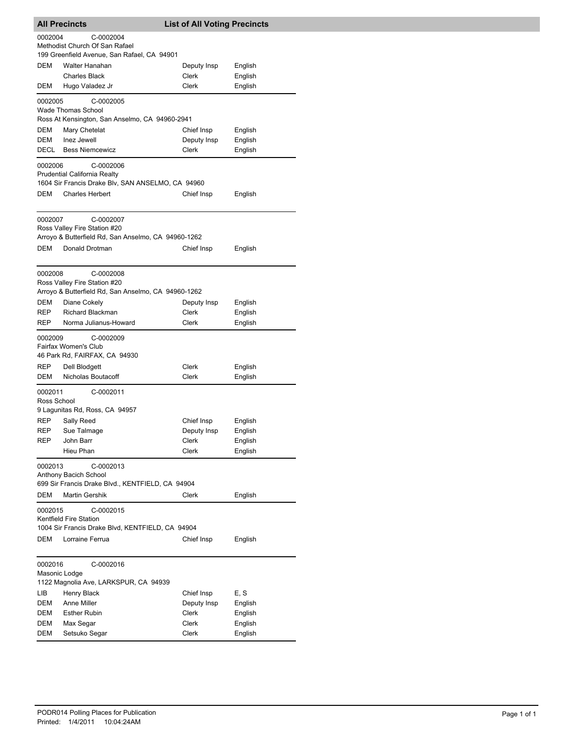|                          | <b>All Precincts</b>                                                                                       | <b>List of All Voting Precincts</b> |         |
|--------------------------|------------------------------------------------------------------------------------------------------------|-------------------------------------|---------|
| 0002004                  | C-0002004                                                                                                  |                                     |         |
|                          | Methodist Church Of San Rafael                                                                             |                                     |         |
|                          | 199 Greenfield Avenue, San Rafael, CA 94901                                                                |                                     |         |
| DEM                      | Walter Hanahan                                                                                             | Deputy Insp                         | English |
|                          | <b>Charles Black</b>                                                                                       | Clerk                               | English |
| DEM                      | Hugo Valadez Jr                                                                                            | Clerk                               | English |
| 0002005                  | C-0002005<br><b>Wade Thomas School</b>                                                                     |                                     |         |
|                          | Ross At Kensington, San Anselmo, CA 94960-2941                                                             |                                     |         |
| DEM                      | Mary Chetelat                                                                                              | Chief Insp                          | English |
| <b>DEM</b>               | Inez Jewell                                                                                                | Deputy Insp                         | English |
| DECL                     | <b>Bess Niemcewicz</b>                                                                                     | Clerk                               | English |
| 0002006                  | C-0002006<br><b>Prudential California Realty</b><br>1604 Sir Francis Drake Blv, SAN ANSELMO, CA 94960      |                                     |         |
| DEM                      | <b>Charles Herbert</b>                                                                                     | Chief Insp                          | English |
|                          |                                                                                                            |                                     |         |
| 0002007                  | C-0002007<br>Ross Valley Fire Station #20                                                                  |                                     |         |
|                          | Arroyo & Butterfield Rd, San Anselmo, CA 94960-1262                                                        |                                     |         |
| <b>DEM</b>               | Donald Drotman                                                                                             | Chief Insp                          | English |
| 0002008                  | C-0002008<br>Ross Valley Fire Station #20<br>Arroyo & Butterfield Rd, San Anselmo, CA 94960-1262           |                                     |         |
| DEM                      | Diane Cokely                                                                                               | Deputy Insp                         | English |
| REP                      | <b>Richard Blackman</b>                                                                                    | Clerk                               | English |
| <b>REP</b>               | Norma Julianus-Howard                                                                                      | Clerk                               | English |
| 0002009                  | C-0002009<br>Fairfax Women's Club<br>46 Park Rd, FAIRFAX, CA 94930                                         |                                     |         |
| REP                      | Dell Blodgett                                                                                              | Clerk                               | English |
| DEM                      | Nicholas Boutacoff                                                                                         | Clerk                               | English |
| 0002011<br>Ross School   | C-0002011<br>9 Lagunitas Rd, Ross, CA 94957                                                                |                                     |         |
| REP                      | Sally Reed                                                                                                 | Chief Insp                          | English |
| REP                      | Sue Talmage                                                                                                | Deputy Insp                         | English |
| REP                      | John Barr                                                                                                  | Clerk                               | English |
|                          | Hieu Phan                                                                                                  | Clerk                               | English |
| 0002013                  | C-0002013<br>Anthony Bacich School<br>699 Sir Francis Drake Blvd., KENTFIELD, CA 94904                     |                                     |         |
| DEM                      | <b>Martin Gershik</b>                                                                                      | Clerk                               | English |
| 0002015<br>DEM           | C-0002015<br>Kentfield Fire Station<br>1004 Sir Francis Drake Blvd, KENTFIELD, CA 94904<br>Lorraine Ferrua | Chief Insp                          | English |
| 0002016<br>Masonic Lodge | C-0002016<br>1122 Magnolia Ave, LARKSPUR, CA 94939                                                         |                                     |         |
| LIB                      | Henry Black                                                                                                | Chief Insp                          | E, S    |
| DEM                      | Anne Miller                                                                                                | Deputy Insp                         | English |
| DEM                      | <b>Esther Rubin</b>                                                                                        | Clerk                               | English |
| DEM                      | Max Segar                                                                                                  | Clerk                               | English |
| DEM                      | Setsuko Segar                                                                                              | Clerk                               | English |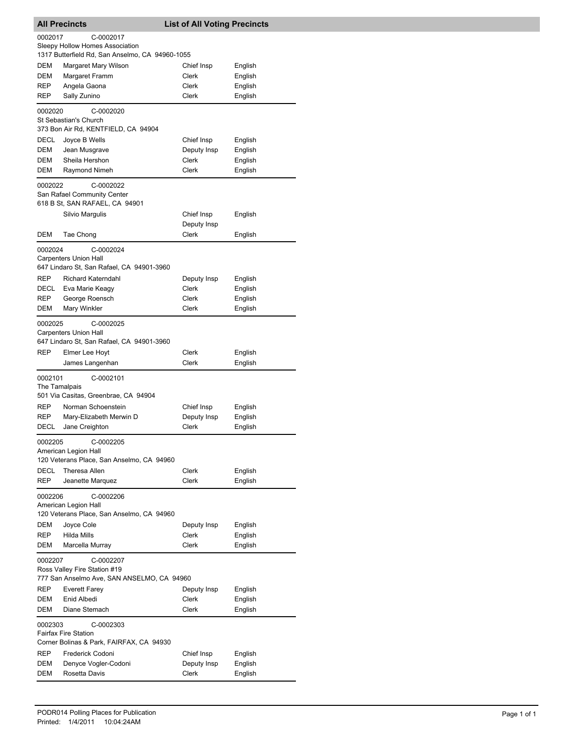|                    | <b>All Precincts</b>                                                                            | <b>List of All Voting Precincts</b> |                    |
|--------------------|-------------------------------------------------------------------------------------------------|-------------------------------------|--------------------|
| 0002017            | C-0002017<br>Sleepy Hollow Homes Association<br>1317 Butterfield Rd, San Anselmo, CA 94960-1055 |                                     |                    |
| DEM                | Margaret Mary Wilson                                                                            | Chief Insp                          | English            |
| <b>DEM</b>         | Margaret Framm                                                                                  | Clerk                               | English            |
| <b>REP</b>         | Angela Gaona                                                                                    | Clerk                               | English            |
| <b>REP</b>         | Sally Zunino                                                                                    | <b>Clerk</b>                        | English            |
| 0002020            | C-0002020<br>St Sebastian's Church<br>373 Bon Air Rd, KENTFIELD, CA 94904                       |                                     |                    |
| DECL               | Joyce B Wells                                                                                   | Chief Insp                          | English            |
| DEM                | Jean Musgrave                                                                                   | Deputy Insp                         | English            |
| DEM                | Sheila Hershon                                                                                  | Clerk                               | English            |
| DEM                | Raymond Nimeh                                                                                   | <b>Clerk</b>                        | English            |
| 0002022            | C-0002022<br>San Rafael Community Center<br>618 B St, SAN RAFAEL, CA 94901                      |                                     |                    |
|                    | Silvio Margulis                                                                                 | Chief Insp                          | English            |
| DEM                | Tae Chong                                                                                       | Deputy Insp<br><b>Clerk</b>         | English            |
|                    |                                                                                                 |                                     |                    |
| 0002024            | C-0002024<br><b>Carpenters Union Hall</b><br>647 Lindaro St, San Rafael, CA 94901-3960          |                                     |                    |
| <b>REP</b>         | Richard Katerndahl                                                                              | Deputy Insp                         | English            |
| DECL               | Eva Marie Keagy                                                                                 | Clerk                               | English            |
| REP                | George Roensch                                                                                  | Clerk                               | English            |
| DEM                | Mary Winkler                                                                                    | <b>Clerk</b>                        | English            |
| 0002025            | C-0002025<br>Carpenters Union Hall<br>647 Lindaro St, San Rafael, CA 94901-3960                 |                                     |                    |
| <b>REP</b>         | Elmer Lee Hoyt                                                                                  | Clerk                               | English            |
|                    | James Langenhan                                                                                 | Clerk                               | English            |
| 0002101            | C-0002101<br>The Tamalpais                                                                      |                                     |                    |
|                    | 501 Via Casitas, Greenbrae, CA 94904                                                            |                                     |                    |
| <b>REP</b>         | Norman Schoenstein                                                                              | Chief Insp                          | English            |
| <b>REP</b><br>DECL | Mary-Elizabeth Merwin D<br>Jane Creighton                                                       | Deputy Insp<br><b>Clerk</b>         | English<br>English |
| 0002205            | C-0002205<br>American Legion Hall                                                               |                                     |                    |
|                    | 120 Veterans Place, San Anselmo, CA 94960                                                       |                                     |                    |
| DECL               | Theresa Allen                                                                                   | Clerk                               | English            |
| REP                | Jeanette Marquez                                                                                | Clerk                               | English            |
| 0002206            | C-0002206<br>American Legion Hall<br>120 Veterans Place, San Anselmo, CA 94960                  |                                     |                    |
| DEM                | Joyce Cole                                                                                      | Deputy Insp                         | English            |
| REP                | Hilda Mills                                                                                     | <b>Clerk</b>                        | English            |
| DEM                | Marcella Murray                                                                                 | Clerk                               | English            |
| 0002207            | C-0002207<br>Ross Valley Fire Station #19                                                       |                                     |                    |
| REP                | 777 San Anselmo Ave, SAN ANSELMO, CA 94960                                                      | Deputy Insp                         |                    |
| DEM                | Everett Farey<br>Enid Albedi                                                                    | Clerk                               | English<br>English |
| DEM                | Diane Stemach                                                                                   | Clerk                               | English            |
| 0002303            | C-0002303<br><b>Fairfax Fire Station</b><br>Corner Bolinas & Park, FAIRFAX, CA 94930            |                                     |                    |
| <b>REP</b>         | Frederick Codoni                                                                                | Chief Insp                          | English            |
| DEM                | Denyce Vogler-Codoni                                                                            | Deputy Insp                         | English            |
| DEM                | Rosetta Davis                                                                                   | Clerk                               | English            |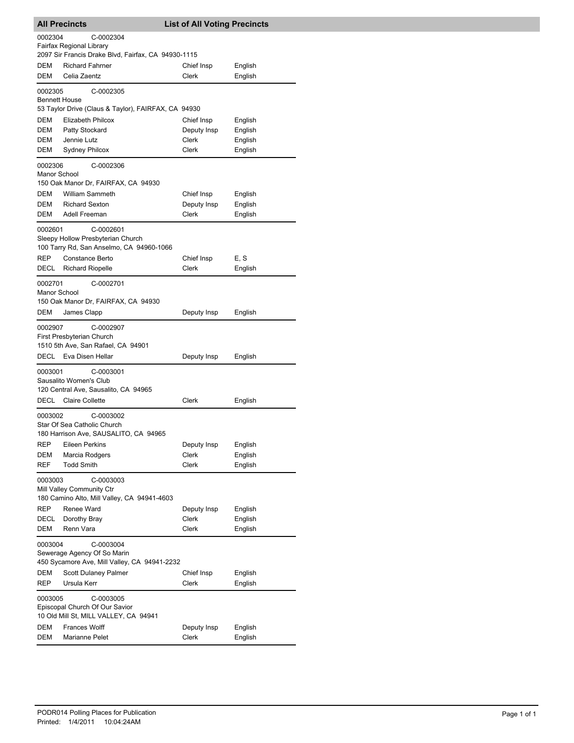| <b>All Precincts</b>            |                                                                                                                  | <b>List of All Voting Precincts</b> |         |
|---------------------------------|------------------------------------------------------------------------------------------------------------------|-------------------------------------|---------|
| 0002304                         | C-0002304<br>Fairfax Regional Library                                                                            |                                     |         |
|                                 | 2097 Sir Francis Drake Blvd, Fairfax, CA 94930-1115                                                              |                                     |         |
| DEM                             | <b>Richard Fahrner</b>                                                                                           | Chief Insp                          | English |
| DEM                             | Celia Zaentz                                                                                                     | Clerk                               | English |
| 0002305<br><b>Bennett House</b> | C-0002305<br>53 Taylor Drive (Claus & Taylor), FAIRFAX, CA 94930                                                 |                                     |         |
| DEM                             | <b>Elizabeth Philcox</b>                                                                                         | Chief Insp                          | English |
| DEM                             | Patty Stockard                                                                                                   | Deputy Insp                         | English |
| DEM                             | Jennie Lutz                                                                                                      | Clerk                               | English |
| DEM                             | <b>Sydney Philcox</b>                                                                                            | <b>Clerk</b>                        | English |
| 0002306<br>Manor School         | C-0002306                                                                                                        |                                     |         |
|                                 | 150 Oak Manor Dr, FAIRFAX, CA 94930                                                                              |                                     |         |
| DEM                             | <b>William Sammeth</b>                                                                                           | Chief Insp                          | English |
| DEM                             | <b>Richard Sexton</b>                                                                                            | Deputy Insp                         | English |
| DEM                             | Adell Freeman                                                                                                    | Clerk                               | English |
| 0002601                         | C-0002601<br>Sleepy Hollow Presbyterian Church<br>100 Tarry Rd, San Anselmo, CA 94960-1066                       |                                     |         |
| REP                             | Constance Berto                                                                                                  | Chief Insp                          | E, S    |
| <b>DECL</b>                     | <b>Richard Riopelle</b>                                                                                          | Clerk                               | English |
| 0002701<br>Manor School         | C-0002701<br>150 Oak Manor Dr, FAIRFAX, CA 94930                                                                 |                                     |         |
| DEM                             | James Clapp                                                                                                      | Deputy Insp                         | English |
| 0002907                         | C-0002907<br>First Presbyterian Church<br>1510 5th Ave, San Rafael, CA 94901                                     |                                     |         |
| DECL                            | Eva Disen Hellar                                                                                                 | Deputy Insp                         | English |
| 0003001                         | C-0003001<br>Sausalito Women's Club<br>120 Central Ave, Sausalito, CA 94965                                      |                                     |         |
| DECL                            | <b>Claire Collette</b>                                                                                           | Clerk                               | English |
| 0003002                         | C-0003002<br>Star Of Sea Catholic Church<br>180 Harrison Ave, SAUSALITO, CA 94965                                |                                     |         |
| REP                             | Eileen Perkins                                                                                                   | Deputy Insp                         | English |
| DEM                             | Marcia Rodgers                                                                                                   | Clerk                               | English |
| REF                             | <b>Todd Smith</b>                                                                                                | Clerk                               | English |
| 0003003                         | C-0003003<br>Mill Valley Community Ctr<br>180 Camino Alto, Mill Valley, CA 94941-4603                            |                                     |         |
| REP                             | Renee Ward                                                                                                       | Deputy Insp                         | English |
| DECL                            | Dorothy Bray                                                                                                     | Clerk                               | English |
| DEM                             | Renn Vara                                                                                                        | Clerk                               | English |
| 0003004<br>DEM                  | C-0003004<br>Sewerage Agency Of So Marin<br>450 Sycamore Ave, Mill Valley, CA 94941-2232<br>Scott Dulaney Palmer | Chief Insp                          | English |
| REP                             | Ursula Kerr                                                                                                      | Clerk                               | English |
| 0003005                         | C-0003005<br>Episcopal Church Of Our Savior<br>10 Old Mill St, MILL VALLEY, CA 94941                             |                                     |         |
| DEM                             | <b>Frances Wolff</b>                                                                                             | Deputy Insp                         | English |
| DEM                             | Marianne Pelet                                                                                                   | Clerk                               | English |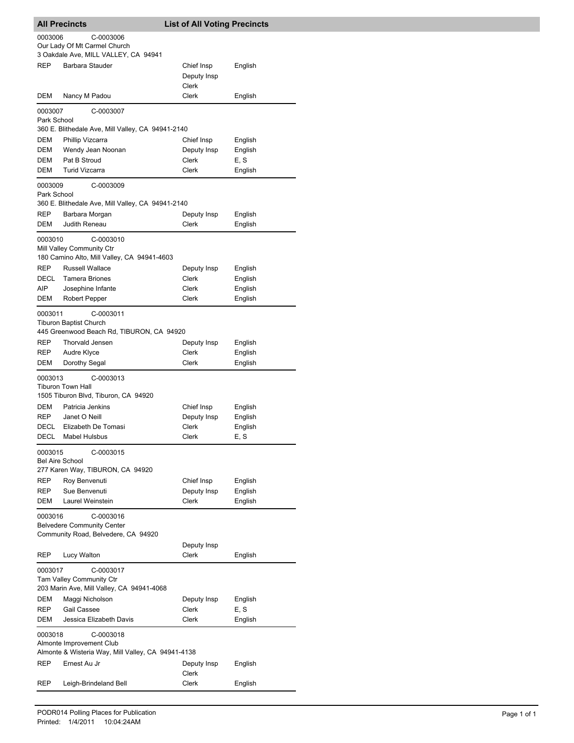|                                   | <b>All Precincts</b>                                                                        | <b>List of All Voting Precincts</b> |         |
|-----------------------------------|---------------------------------------------------------------------------------------------|-------------------------------------|---------|
| 0003006                           | C-0003006<br>Our Lady Of Mt Carmel Church<br>3 Oakdale Ave, MILL VALLEY, CA 94941           |                                     |         |
| <b>REP</b>                        | Barbara Stauder                                                                             | Chief Insp<br>Deputy Insp<br>Clerk  | English |
| DEM                               | Nancy M Padou                                                                               | Clerk                               | English |
| 0003007<br>Park School            | C-0003007<br>360 E. Blithedale Ave, Mill Valley, CA 94941-2140                              |                                     |         |
| DEM                               | Phillip Vizcarra                                                                            | Chief Insp                          | English |
| DEM                               | Wendy Jean Noonan                                                                           | Deputy Insp                         | English |
| DEM                               | Pat B Stroud                                                                                | Clerk                               | E, S    |
| DEM                               | <b>Turid Vizcarra</b>                                                                       | Clerk                               | English |
| 0003009<br>Park School            | C-0003009<br>360 E. Blithedale Ave, Mill Valley, CA 94941-2140                              |                                     |         |
| REP                               | Barbara Morgan                                                                              | Deputy Insp                         | English |
| DEM                               | Judith Reneau                                                                               | Clerk                               | English |
| 0003010                           | C-0003010<br>Mill Valley Community Ctr<br>180 Camino Alto, Mill Valley, CA 94941-4603       |                                     |         |
| <b>REP</b>                        | <b>Russell Wallace</b>                                                                      | Deputy Insp                         | English |
| DECL                              | Tamera Briones                                                                              | Clerk                               | English |
| AIP                               | Josephine Infante                                                                           | Clerk                               | English |
| DEM                               | Robert Pepper                                                                               | Clerk                               | English |
| 0003011                           | C-0003011<br><b>Tiburon Baptist Church</b><br>445 Greenwood Beach Rd, TIBURON, CA 94920     |                                     |         |
| REP                               | Thorvald Jensen                                                                             | Deputy Insp                         | English |
| REP                               | Audre Klyce                                                                                 | Clerk                               | English |
| DEM                               | Dorothy Segal                                                                               | Clerk                               | English |
| 0003013                           | C-0003013<br>Tiburon Town Hall<br>1505 Tiburon Blvd, Tiburon, CA 94920                      |                                     |         |
| DEM                               | Patricia Jenkins                                                                            | Chief Insp                          | English |
| REP                               | Janet O Neill                                                                               | Deputy Insp                         | English |
| DECL                              | Elizabeth De Tomasi                                                                         | Clerk                               | English |
| DECL                              | <b>Mabel Hulsbus</b>                                                                        | Clerk                               | E, S    |
| 0003015<br><b>Bel Aire School</b> | C-0003015<br>277 Karen Way, TIBURON, CA 94920                                               |                                     |         |
| <b>REP</b>                        | Roy Benvenuti                                                                               | Chief Insp                          | English |
| REP                               | Sue Benvenuti                                                                               | Deputy Insp                         | English |
| DEM                               | Laurel Weinstein                                                                            | Clerk                               | English |
| 0003016                           | C-0003016<br><b>Belvedere Community Center</b><br>Community Road, Belvedere, CA 94920       |                                     |         |
|                                   |                                                                                             | Deputy Insp                         |         |
| <b>REP</b>                        | Lucy Walton                                                                                 | Clerk                               | English |
| 0003017                           | C-0003017<br>Tam Valley Community Ctr<br>203 Marin Ave, Mill Valley, CA 94941-4068          |                                     |         |
| DEM                               | Maggi Nicholson                                                                             | Deputy Insp                         | English |
| REP                               | Gail Cassee                                                                                 | Clerk                               | E, S    |
| DEM                               | Jessica Elizabeth Davis                                                                     | Clerk                               | English |
| 0003018                           | C-0003018<br>Almonte Improvement Club<br>Almonte & Wisteria Way, Mill Valley, CA 94941-4138 |                                     |         |
| REP                               | Ernest Au Jr                                                                                | Deputy Insp<br>Clerk                | English |
| REP                               | Leigh-Brindeland Bell                                                                       | Clerk                               | English |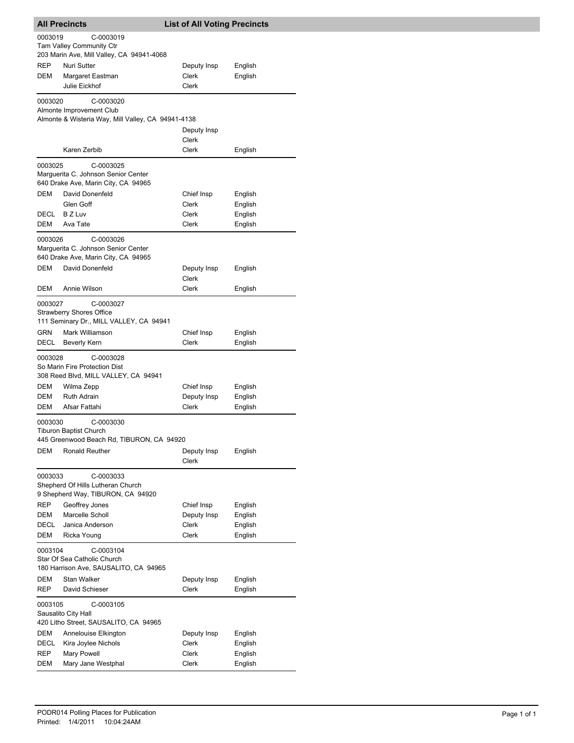|                        | <b>All Precincts</b>                                                                                                              | <b>List of All Voting Precincts</b> |                    |
|------------------------|-----------------------------------------------------------------------------------------------------------------------------------|-------------------------------------|--------------------|
| 0003019                | C-0003019<br>Tam Valley Community Ctr                                                                                             |                                     |                    |
|                        | 203 Marin Ave, Mill Valley, CA 94941-4068                                                                                         |                                     |                    |
| REP<br>DEM             | Nuri Sutter                                                                                                                       | Deputy Insp                         | English            |
|                        | Margaret Eastman<br>Julie Eickhof                                                                                                 | Clerk<br>Clerk                      | English            |
|                        |                                                                                                                                   |                                     |                    |
| 0003020                | C-0003020<br>Almonte Improvement Club                                                                                             |                                     |                    |
|                        | Almonte & Wisteria Way, Mill Valley, CA 94941-4138                                                                                |                                     |                    |
|                        |                                                                                                                                   | Deputy Insp<br>Clerk                |                    |
|                        | Karen Zerbib                                                                                                                      | Clerk                               | English            |
| 0003025                | C-0003025<br>Marguerita C. Johnson Senior Center<br>640 Drake Ave, Marin City, CA 94965                                           |                                     |                    |
| <b>DEM</b>             | David Donenfeld                                                                                                                   | Chief Insp                          | English            |
|                        | Glen Goff                                                                                                                         | Clerk                               | English            |
| DECL                   | B Z Luv                                                                                                                           | Clerk                               | English            |
| DEM                    | Ava Tate                                                                                                                          | Clerk                               | English            |
| 0003026                | C-0003026<br>Marguerita C. Johnson Senior Center<br>640 Drake Ave, Marin City, CA 94965                                           |                                     |                    |
| <b>DEM</b>             | David Donenfeld                                                                                                                   | Deputy Insp<br>Clerk                | English            |
| DEM                    | Annie Wilson                                                                                                                      | Clerk                               | English            |
| 0003027<br>GRN<br>DECL | C-0003027<br><b>Strawberry Shores Office</b><br>111 Seminary Dr., MILL VALLEY, CA 94941<br>Mark Williamson<br><b>Beverly Kern</b> | Chief Insp<br>Clerk                 | English<br>English |
| 0003028                | C-0003028<br>So Marin Fire Protection Dist<br>308 Reed Blvd, MILL VALLEY, CA 94941                                                |                                     |                    |
| DEM                    | Wilma Zepp                                                                                                                        | Chief Insp                          | English            |
| DEM<br>DEM             | <b>Ruth Adrain</b><br>Afsar Fattahi                                                                                               | Deputy Insp<br>Clerk                | English            |
| 0003030                | C-0003030<br><b>Tiburon Baptist Church</b><br>445 Greenwood Beach Rd. TIBURON. CA 94920                                           |                                     | English            |
| DEM                    | Ronald Reuther                                                                                                                    | Deputy Insp<br><b>Clerk</b>         | English            |
| 0003033                | C-0003033<br>Shepherd Of Hills Lutheran Church<br>9 Shepherd Way, TIBURON, CA 94920                                               |                                     |                    |
| REP                    | Geoffrey Jones                                                                                                                    | Chief Insp                          | English            |
| DEM                    | Marcelle Scholl                                                                                                                   | Deputy Insp                         | English            |
| <b>DECL</b>            | Janica Anderson                                                                                                                   | Clerk                               | English            |
| DEM                    | Ricka Young                                                                                                                       | Clerk                               | English            |
| 0003104                | C-0003104<br>Star Of Sea Catholic Church<br>180 Harrison Ave, SAUSALITO, CA 94965                                                 |                                     |                    |
| DEM                    | <b>Stan Walker</b>                                                                                                                | Deputy Insp                         | English            |
| REP                    | David Schieser                                                                                                                    | Clerk                               | English            |
| 0003105                | C-0003105<br>Sausalito City Hall                                                                                                  |                                     |                    |
|                        | 420 Litho Street, SAUSALITO, CA 94965                                                                                             |                                     |                    |
| DEM                    | Annelouise Elkington                                                                                                              | Deputy Insp                         | English            |
| DECL                   | Kira Joylee Nichols                                                                                                               | Clerk                               | English            |
| REP                    | Mary Powell                                                                                                                       | Clerk                               | English            |
| DEM                    | Mary Jane Westphal                                                                                                                | Clerk                               | English            |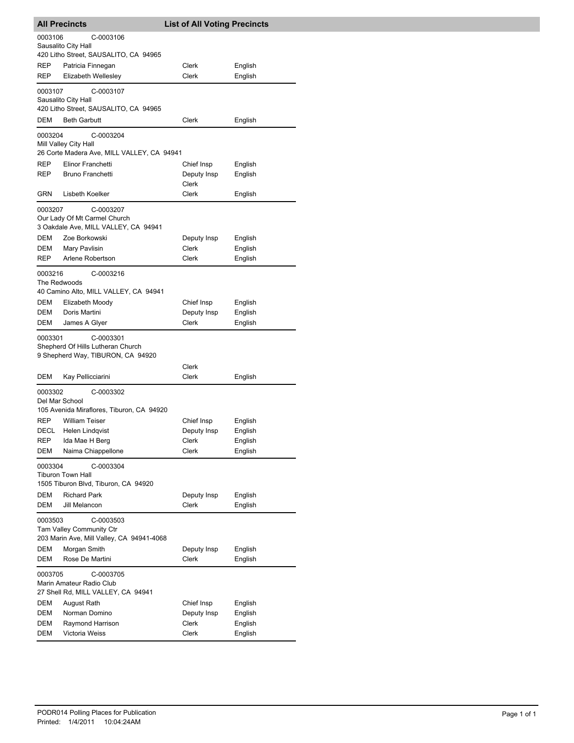|                         | <b>All Precincts</b>                                                   | <b>List of All Voting Precincts</b> |                    |
|-------------------------|------------------------------------------------------------------------|-------------------------------------|--------------------|
| 0003106                 | C-0003106                                                              |                                     |                    |
|                         | Sausalito City Hall<br>420 Litho Street, SAUSALITO, CA 94965           |                                     |                    |
| REP                     | Patricia Finnegan                                                      | Clerk                               | English            |
| <b>REP</b>              | Elizabeth Wellesley                                                    | <b>Clerk</b>                        | English            |
| 0003107                 | C-0003107                                                              |                                     |                    |
|                         | Sausalito City Hall                                                    |                                     |                    |
|                         | 420 Litho Street, SAUSALITO, CA 94965                                  |                                     |                    |
| DEM                     | <b>Beth Garbutt</b>                                                    | Clerk                               | English            |
| 0003204                 | C-0003204                                                              |                                     |                    |
|                         | Mill Valley City Hall                                                  |                                     |                    |
| REP                     | 26 Corte Madera Ave, MILL VALLEY, CA 94941<br>Elinor Franchetti        | Chief Insp                          | English            |
| <b>REP</b>              | <b>Bruno Franchetti</b>                                                | Deputy Insp                         | English            |
|                         |                                                                        | Clerk                               |                    |
| GRN                     | Lisbeth Koelker                                                        | <b>Clerk</b>                        | English            |
| 0003207                 | C-0003207                                                              |                                     |                    |
|                         | Our Lady Of Mt Carmel Church                                           |                                     |                    |
|                         | 3 Oakdale Ave, MILL VALLEY, CA 94941                                   |                                     |                    |
| DEM<br><b>DEM</b>       | Zoe Borkowski<br>Mary Pavlisin                                         | Deputy Insp<br>Clerk                | English<br>English |
| <b>REP</b>              | Arlene Robertson                                                       | Clerk                               | English            |
|                         |                                                                        |                                     |                    |
| 0003216<br>The Redwoods | C-0003216                                                              |                                     |                    |
|                         | 40 Camino Alto, MILL VALLEY, CA 94941                                  |                                     |                    |
| DEM                     | Elizabeth Moody                                                        | Chief Insp                          | English            |
| DEM                     | Doris Martini                                                          | Deputy Insp                         | English            |
| DEM                     | James A Glyer                                                          | Clerk                               | English            |
| 0003301                 | C-0003301                                                              |                                     |                    |
|                         | Shepherd Of Hills Lutheran Church<br>9 Shepherd Way, TIBURON, CA 94920 |                                     |                    |
|                         |                                                                        | Clerk                               |                    |
| DEM                     | Kay Pellicciarini                                                      | Clerk                               | English            |
| 0003302                 | C-0003302                                                              |                                     |                    |
| Del Mar School          |                                                                        |                                     |                    |
|                         | 105 Avenida Miraflores, Tiburon, CA 94920                              |                                     |                    |
| REP                     | William Teiser                                                         | Chief Insp                          | English            |
| DECL                    | <b>Helen Lindqvist</b><br>Ida Mae H Berg                               | Deputy Insp                         | English            |
| REP<br>DEM              | Naima Chiappellone                                                     | Clerk<br>Clerk                      | English<br>English |
|                         |                                                                        |                                     |                    |
| 0003304                 | C-0003304<br><b>Tiburon Town Hall</b>                                  |                                     |                    |
|                         | 1505 Tiburon Blvd, Tiburon, CA 94920                                   |                                     |                    |
| DEM                     | <b>Richard Park</b>                                                    | Deputy Insp                         | English            |
| <b>DEM</b>              | Jill Melancon                                                          | <b>Clerk</b>                        | English            |
| 0003503                 | C-0003503                                                              |                                     |                    |
|                         | Tam Valley Community Ctr                                               |                                     |                    |
|                         | 203 Marin Ave, Mill Valley, CA 94941-4068                              |                                     |                    |
| DEM<br>DEM              | Morgan Smith<br>Rose De Martini                                        | Deputy Insp<br>Clerk                | English<br>English |
|                         |                                                                        |                                     |                    |
| 0003705                 | C-0003705<br>Marin Amateur Radio Club                                  |                                     |                    |
|                         | 27 Shell Rd, MILL VALLEY, CA 94941                                     |                                     |                    |
| DEM                     | August Rath                                                            | Chief Insp                          | English            |
| DEM                     | Norman Domino                                                          | Deputy Insp                         | English            |
| DEM                     | Raymond Harrison                                                       | Clerk                               | English            |
| DEM                     | Victoria Weiss                                                         | Clerk                               | English            |

I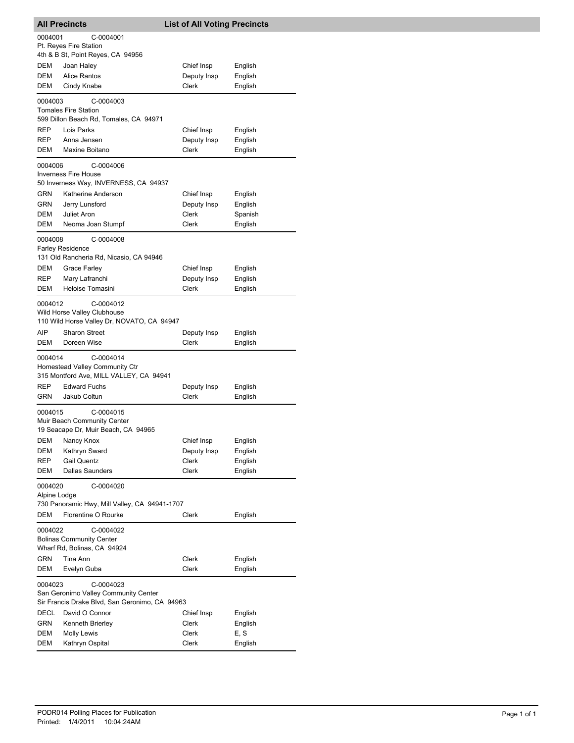| <b>All Precincts</b>            |                                                                                                     | <b>List of All Voting Precincts</b>         |                                          |
|---------------------------------|-----------------------------------------------------------------------------------------------------|---------------------------------------------|------------------------------------------|
| 0004001                         | C-0004001<br>Pt. Reyes Fire Station<br>4th & B St, Point Reyes, CA 94956                            |                                             |                                          |
| DEM<br>DEM<br><b>DEM</b>        | Joan Haley<br><b>Alice Rantos</b><br>Cindy Knabe                                                    | Chief Insp<br>Deputy Insp<br>Clerk          | English<br>English<br>English            |
| 0004003                         | C-0004003<br><b>Tomales Fire Station</b><br>599 Dillon Beach Rd, Tomales, CA 94971                  |                                             |                                          |
| REP<br>REP<br>DEM               | Lois Parks<br>Anna Jensen<br>Maxine Boitano                                                         | Chief Insp<br>Deputy Insp<br><b>Clerk</b>   | English<br>English<br>English            |
| 0004006                         | C-0004006<br><b>Inverness Fire House</b><br>50 Inverness Way, INVERNESS, CA 94937                   |                                             |                                          |
| GRN<br><b>GRN</b><br>DEM<br>DEM | Katherine Anderson<br>Jerry Lunsford<br>Juliet Aron<br>Neoma Joan Stumpf                            | Chief Insp<br>Deputy Insp<br>Clerk<br>Clerk | English<br>English<br>Spanish<br>English |
| 0004008                         | C-0004008<br><b>Farley Residence</b><br>131 Old Rancheria Rd, Nicasio, CA 94946                     |                                             |                                          |
| <b>DEM</b><br>REP<br>DEM        | <b>Grace Farley</b><br>Mary Lafranchi<br>Heloise Tomasini                                           | Chief Insp<br>Deputy Insp<br>Clerk          | English<br>English<br>English            |
| 0004012                         | C-0004012<br>Wild Horse Valley Clubhouse<br>110 Wild Horse Valley Dr, NOVATO, CA 94947              |                                             |                                          |
| AIP<br>DEM                      | <b>Sharon Street</b><br>Doreen Wise                                                                 | Deputy Insp<br>Clerk                        | English<br>English                       |
| 0004014                         | C-0004014<br>Homestead Valley Community Ctr<br>315 Montford Ave, MILL VALLEY, CA 94941              |                                             |                                          |
| <b>REP</b><br>GRN               | <b>Edward Fuchs</b><br>Jakub Coltun                                                                 | Deputy Insp<br>Clerk                        | English<br>English                       |
| 0004015                         | C-0004015<br>Muir Beach Community Center<br>19 Seacape Dr, Muir Beach, CA 94965                     |                                             |                                          |
| DEM<br><b>DEM</b><br>REP        | Nancy Knox<br>Kathryn Sward<br><b>Gail Quentz</b>                                                   | Chief Insp<br>Deputy Insp<br><b>Clerk</b>   | English<br>English<br>English            |
| DEM<br>0004020<br>Alpine Lodge  | <b>Dallas Saunders</b><br>C-0004020<br>730 Panoramic Hwy, Mill Valley, CA 94941-1707                | Clerk                                       | English                                  |
| <b>DEM</b>                      | Florentine O Rourke                                                                                 | Clerk                                       | English                                  |
| 0004022                         | C-0004022<br><b>Bolinas Community Center</b><br>Wharf Rd, Bolinas, CA 94924                         |                                             |                                          |
| <b>GRN</b><br>DEM               | Tina Ann<br>Evelyn Guba                                                                             | Clerk<br>Clerk                              | English<br>English                       |
| 0004023                         | C-0004023<br>San Geronimo Valley Community Center<br>Sir Francis Drake Blvd, San Geronimo, CA 94963 |                                             |                                          |
| <b>DECL</b>                     | David O Connor                                                                                      | Chief Insp                                  | English                                  |
| GRN                             | Kenneth Brierley                                                                                    | Clerk                                       | English                                  |
| DEM<br>DEM                      | Molly Lewis<br>Kathryn Ospital                                                                      | Clerk<br>Clerk                              | E, S<br>English                          |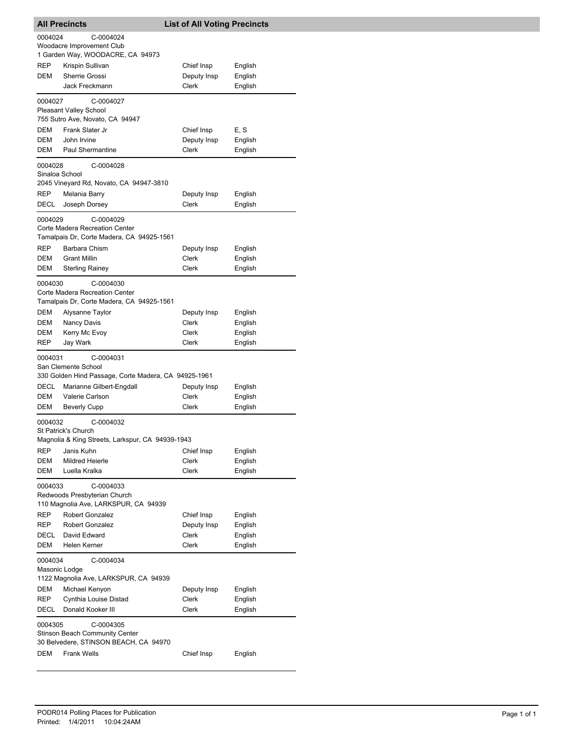| <b>All Precincts</b>                    |                                                                                                                            | <b>List of All Voting Precincts</b>                |                                          |  |  |
|-----------------------------------------|----------------------------------------------------------------------------------------------------------------------------|----------------------------------------------------|------------------------------------------|--|--|
| 0004024                                 | C-0004024<br>Woodacre Improvement Club<br>1 Garden Way, WOODACRE, CA 94973                                                 |                                                    |                                          |  |  |
| <b>REP</b><br>DEM                       | Krispin Sullivan<br>Sherrie Grossi<br>Jack Freckmann                                                                       | Chief Insp<br>Deputy Insp<br>Clerk                 | English<br>English<br>English            |  |  |
| 0004027                                 | C-0004027<br><b>Pleasant Valley School</b><br>755 Sutro Ave, Novato, CA 94947                                              |                                                    |                                          |  |  |
| DEM<br>DEM<br>DEM                       | Frank Slater Jr<br>John Irvine<br><b>Paul Shermantine</b>                                                                  | Chief Insp<br>Deputy Insp<br>Clerk                 | E, S<br>English<br>English               |  |  |
| 0004028<br>Sinaloa School               | C-0004028<br>2045 Vineyard Rd, Novato, CA 94947-3810                                                                       |                                                    |                                          |  |  |
| REP<br>DECL                             | Melania Barry<br>Joseph Dorsey                                                                                             | Deputy Insp<br>Clerk                               | English<br>English                       |  |  |
| 0004029                                 | C-0004029<br>Corte Madera Recreation Center<br>Tamalpais Dr, Corte Madera, CA 94925-1561                                   |                                                    |                                          |  |  |
| <b>REP</b><br><b>DEM</b><br>DEM         | Barbara Chism<br><b>Grant Millin</b><br><b>Sterling Rainey</b>                                                             | Deputy Insp<br>Clerk<br>Clerk                      | English<br>English<br>English            |  |  |
|                                         | C-0004030<br>0004030<br>Corte Madera Recreation Center<br>Tamalpais Dr, Corte Madera, CA 94925-1561                        |                                                    |                                          |  |  |
| DEM<br><b>DEM</b><br>DEM<br><b>REP</b>  | Alysanne Taylor<br>Nancy Davis<br>Kerry Mc Evoy<br>Jay Wark                                                                | Deputy Insp<br>Clerk<br>Clerk<br>Clerk             | English<br>English<br>English<br>English |  |  |
| 0004031                                 | C-0004031<br>San Clemente School                                                                                           |                                                    |                                          |  |  |
| <b>DECL</b><br>DEM<br>DEM               | 330 Golden Hind Passage, Corte Madera, CA 94925-1961<br>Marianne Gilbert-Engdall<br>Valerie Carlson<br><b>Beverly Cupp</b> | Deputy Insp<br><b>Clerk</b><br>Clerk               | English<br>English<br>English            |  |  |
| 0004032                                 | C-0004032<br>St Patrick's Church<br>Magnolia & King Streets, Larkspur, CA 94939-1943                                       |                                                    |                                          |  |  |
| <b>REP</b><br>DEM<br>DEM                | Janis Kuhn<br><b>Mildred Heierle</b><br>Luella Kralka                                                                      | Chief Insp<br>Clerk<br>Clerk                       | English<br>English<br>English            |  |  |
| 0004033                                 | C-0004033<br>Redwoods Presbyterian Church<br>110 Magnolia Ave, LARKSPUR, CA 94939                                          |                                                    |                                          |  |  |
| <b>REP</b><br>REP<br>DECL<br><b>DEM</b> | <b>Robert Gonzalez</b><br><b>Robert Gonzalez</b><br>David Edward<br>Helen Kerner                                           | Chief Insp<br>Deputy Insp<br>Clerk<br><b>Clerk</b> | English<br>English<br>English<br>English |  |  |
| 0004034<br>Masonic Lodge                | C-0004034<br>1122 Magnolia Ave, LARKSPUR, CA 94939                                                                         |                                                    |                                          |  |  |
| DEM<br>REP<br>DECL                      | Michael Kenyon<br>Cynthia Louise Distad<br>Donald Kooker III                                                               | Deputy Insp<br>Clerk<br>Clerk                      | English<br>English<br>English            |  |  |
| 0004305                                 | C-0004305<br><b>Stinson Beach Community Center</b><br>30 Belvedere, STINSON BEACH, CA 94970                                |                                                    |                                          |  |  |
| DEM                                     | <b>Frank Wells</b>                                                                                                         | Chief Insp                                         | English                                  |  |  |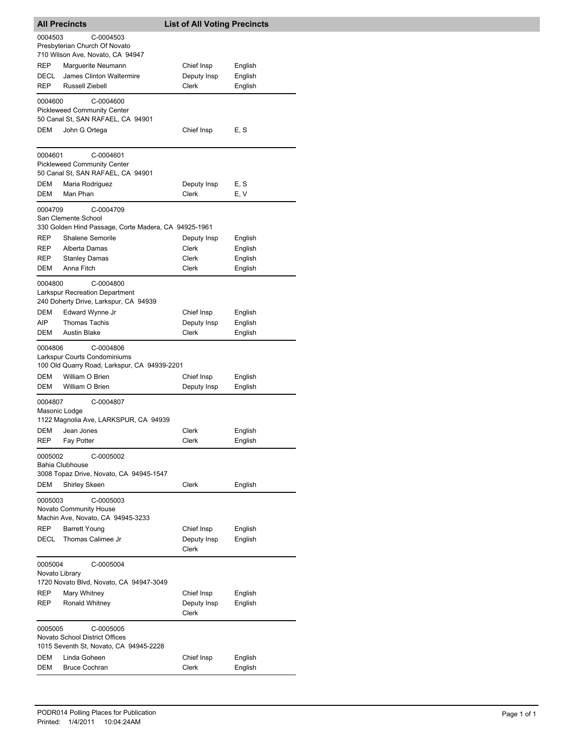|                                                   | <b>All Precincts</b>                                                                                                                                                | <b>List of All Voting Precincts</b>       |                                          |
|---------------------------------------------------|---------------------------------------------------------------------------------------------------------------------------------------------------------------------|-------------------------------------------|------------------------------------------|
| 0004503                                           | C-0004503<br>Presbyterian Church Of Novato<br>710 Wilson Ave, Novato, CA 94947                                                                                      |                                           |                                          |
| REP                                               | Marguerite Neumann                                                                                                                                                  | Chief Insp                                | English                                  |
| DECL                                              | James Clinton Waltermire                                                                                                                                            | Deputy Insp                               | English                                  |
| <b>REP</b>                                        | Russell Ziebell                                                                                                                                                     | Clerk                                     | English                                  |
| 0004600<br>DEM                                    | C-0004600<br><b>Pickleweed Community Center</b><br>50 Canal St, SAN RAFAEL, CA 94901<br>John G Ortega                                                               | Chief Insp                                | E, S                                     |
|                                                   |                                                                                                                                                                     |                                           |                                          |
| 0004601<br>DEM                                    | C-0004601<br><b>Pickleweed Community Center</b><br>50 Canal St, SAN RAFAEL, CA 94901<br>Maria Rodriguez                                                             | Deputy Insp                               | E, S                                     |
| DEM                                               | Man Phan                                                                                                                                                            | Clerk                                     | E, V                                     |
| 0004709<br>REP<br><b>REP</b><br><b>REP</b><br>DEM | C-0004709<br>San Clemente School<br>330 Golden Hind Passage, Corte Madera, CA 94925-1961<br>Shalene Semorile<br>Alberta Damas<br><b>Stanley Damas</b><br>Anna Fitch | Deputy Insp<br>Clerk<br>Clerk<br>Clerk    | English<br>English<br>English<br>English |
|                                                   |                                                                                                                                                                     |                                           |                                          |
| 0004800                                           | C-0004800<br><b>Larkspur Recreation Department</b><br>240 Doherty Drive, Larkspur, CA 94939                                                                         |                                           |                                          |
| DEM                                               | Edward Wynne Jr                                                                                                                                                     | Chief Insp                                | English                                  |
| AIP                                               | <b>Thomas Tachis</b>                                                                                                                                                | Deputy Insp                               | English                                  |
| DEM                                               | <b>Austin Blake</b>                                                                                                                                                 | Clerk                                     | English                                  |
| 0004806<br>DEM                                    | C-0004806<br>Larkspur Courts Condominiums<br>100 Old Quarry Road, Larkspur, CA 94939-2201<br>William O Brien                                                        | Chief Insp                                |                                          |
| DEM                                               | William O Brien                                                                                                                                                     | Deputy Insp                               | English<br>English                       |
| 0004807<br>Masonic Lodge<br>DEM                   | C-0004807<br>1122 Magnolia Ave, LARKSPUR, CA 94939<br>Jean Jones                                                                                                    | Clerk                                     | English                                  |
| REP                                               | Fay Potter                                                                                                                                                          | Clerk                                     | English                                  |
| 0005002<br>DEM                                    | C-0005002<br><b>Bahia Clubhouse</b><br>3008 Topaz Drive, Novato, CA 94945-1547<br><b>Shirley Skeen</b>                                                              | Clerk                                     | English                                  |
| 0005003                                           | C-0005003                                                                                                                                                           |                                           |                                          |
|                                                   | Novato Community House<br>Machin Ave, Novato, CA 94945-3233                                                                                                         |                                           |                                          |
| REP<br>DECL                                       | Barrett Young<br>Thomas Calimee Jr                                                                                                                                  | Chief Insp<br>Deputy Insp<br><b>Clerk</b> | English<br>English                       |
| 0005004<br>Novato Library                         | C-0005004<br>1720 Novato Blvd, Novato, CA 94947-3049                                                                                                                |                                           |                                          |
| REP                                               | Mary Whitney                                                                                                                                                        | Chief Insp                                | English                                  |
| REP                                               | Ronald Whitney                                                                                                                                                      | Deputy Insp<br>Clerk                      | English                                  |
| 0005005                                           | C-0005005<br>Novato School District Offices<br>1015 Seventh St, Novato, CA 94945-2228                                                                               |                                           |                                          |
| DEM                                               | Linda Goheen                                                                                                                                                        | Chief Insp                                | English                                  |
| DEM                                               | <b>Bruce Cochran</b>                                                                                                                                                | Clerk                                     | English                                  |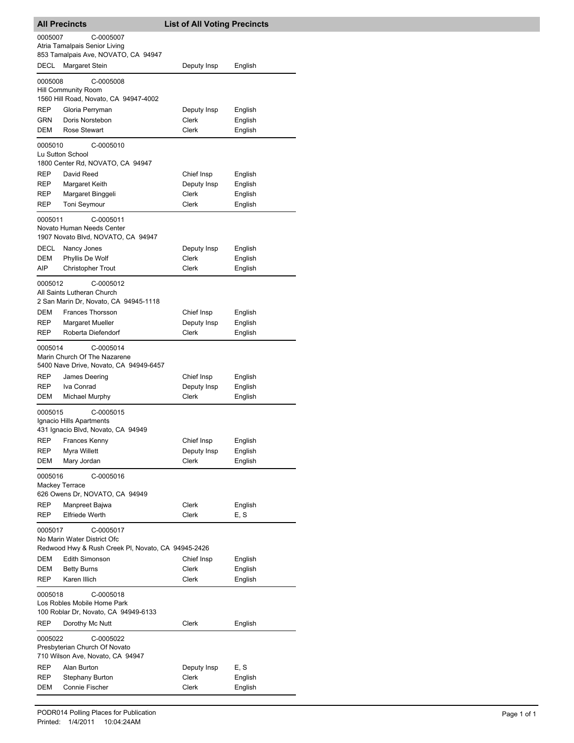| <b>All Precincts</b>                                                                                      |                                                                                     | <b>List of All Voting Precincts</b> |                    |  |  |
|-----------------------------------------------------------------------------------------------------------|-------------------------------------------------------------------------------------|-------------------------------------|--------------------|--|--|
| 0005007<br>C-0005007<br>Atria Tamalpais Senior Living<br>853 Tamalpais Ave, NOVATO, CA 94947              |                                                                                     |                                     |                    |  |  |
| DECL                                                                                                      | Margaret Stein                                                                      | Deputy Insp                         | English            |  |  |
| 0005008<br>C-0005008<br>Hill Community Room<br>1560 Hill Road, Novato, CA 94947-4002                      |                                                                                     |                                     |                    |  |  |
| REP                                                                                                       | Gloria Perryman                                                                     | Deputy Insp                         | English            |  |  |
| GRN                                                                                                       | Doris Norstebon                                                                     | Clerk                               | English            |  |  |
| DEM                                                                                                       | <b>Rose Stewart</b>                                                                 | Clerk                               | English            |  |  |
| 0005010<br>C-0005010<br>Lu Sutton School<br>1800 Center Rd, NOVATO, CA 94947                              |                                                                                     |                                     |                    |  |  |
| REP                                                                                                       | David Reed                                                                          | Chief Insp                          | English            |  |  |
| REP                                                                                                       | Margaret Keith                                                                      | Deputy Insp                         | English            |  |  |
| REP                                                                                                       | Margaret Binggeli                                                                   | Clerk                               | English            |  |  |
| REP                                                                                                       | <b>Toni Seymour</b>                                                                 | Clerk                               | English            |  |  |
| C-0005011<br>0005011<br>Novato Human Needs Center<br>1907 Novato Blvd, NOVATO, CA 94947                   |                                                                                     |                                     |                    |  |  |
| DECL                                                                                                      | Nancy Jones                                                                         | Deputy Insp                         | English            |  |  |
| DEM                                                                                                       | Phyllis De Wolf                                                                     | Clerk                               | English            |  |  |
| AIP                                                                                                       | <b>Christopher Trout</b>                                                            | <b>Clerk</b>                        | English            |  |  |
| C-0005012<br>0005012<br>All Saints Lutheran Church<br>2 San Marin Dr, Novato, CA 94945-1118               |                                                                                     |                                     |                    |  |  |
| DEM                                                                                                       | Frances Thorsson                                                                    | Chief Insp                          | English            |  |  |
| REP                                                                                                       | Margaret Mueller                                                                    | Deputy Insp                         | English            |  |  |
| REP                                                                                                       | Roberta Diefendorf                                                                  | Clerk                               | English            |  |  |
| 0005014                                                                                                   | C-0005014<br>Marin Church Of The Nazarene<br>5400 Nave Drive, Novato, CA 94949-6457 |                                     |                    |  |  |
| REP                                                                                                       | James Deering                                                                       | Chief Insp                          | English            |  |  |
| REP                                                                                                       | Iva Conrad                                                                          | Deputy Insp                         | English            |  |  |
| DEM                                                                                                       | Michael Murphy                                                                      | <b>Clerk</b>                        | English            |  |  |
| 0005015<br>C-0005015<br>Ignacio Hills Apartments<br>431 Ignacio Blvd, Novato, CA 94949                    |                                                                                     |                                     |                    |  |  |
|                                                                                                           | REP Frances Kenny                                                                   | Chief Insp                          | English            |  |  |
| REP                                                                                                       | Myra Willett                                                                        | Deputy Insp                         | English            |  |  |
| DEM                                                                                                       | Mary Jordan                                                                         | Clerk                               | English            |  |  |
| C-0005016<br>0005016<br><b>Mackey Terrace</b><br>626 Owens Dr, NOVATO, CA 94949                           |                                                                                     |                                     |                    |  |  |
| REP                                                                                                       | Manpreet Bajwa                                                                      | Clerk                               | English            |  |  |
| REP                                                                                                       | <b>Elfriede Werth</b>                                                               | <b>Clerk</b>                        | E, S               |  |  |
| C-0005017<br>0005017<br>No Marin Water District Ofc<br>Redwood Hwy & Rush Creek PI, Novato, CA 94945-2426 |                                                                                     |                                     |                    |  |  |
| DEM                                                                                                       | <b>Edith Simonson</b>                                                               | Chief Insp                          | English            |  |  |
| DEM                                                                                                       | <b>Betty Burns</b>                                                                  | Clerk                               | English            |  |  |
| REP                                                                                                       | Karen Illich                                                                        | Clerk                               | English            |  |  |
| 0005018<br>C-0005018<br>Los Robles Mobile Home Park<br>100 Roblar Dr, Novato, CA 94949-6133               |                                                                                     |                                     |                    |  |  |
| REP                                                                                                       | Dorothy Mc Nutt                                                                     | Clerk                               | English            |  |  |
| 0005022<br>C-0005022<br>Presbyterian Church Of Novato<br>710 Wilson Ave, Novato, CA 94947                 |                                                                                     |                                     |                    |  |  |
| REP                                                                                                       | Alan Burton                                                                         | Deputy Insp                         | E, S               |  |  |
| REP<br>DEM                                                                                                | Stephany Burton<br>Connie Fischer                                                   | Clerk<br>Clerk                      | English<br>English |  |  |
|                                                                                                           |                                                                                     |                                     |                    |  |  |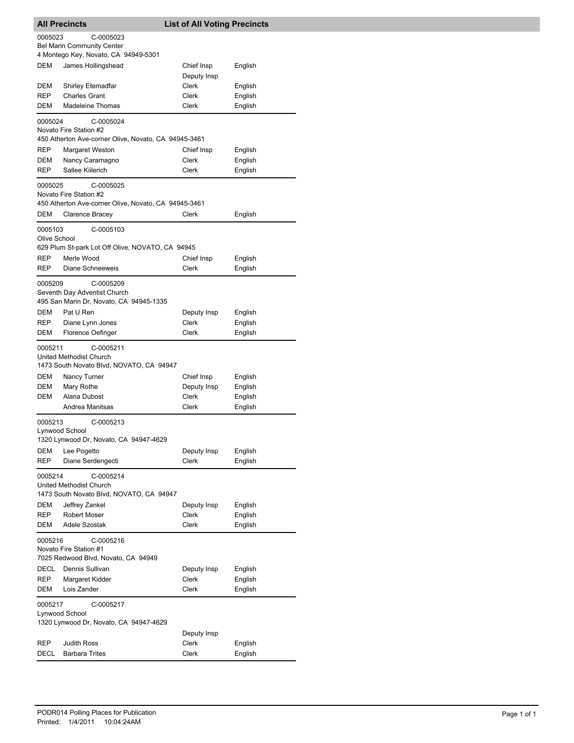| <b>All Precincts</b>                                                                            |                                                                                                                                            | <b>List of All Voting Precincts</b>  |                               |  |  |  |
|-------------------------------------------------------------------------------------------------|--------------------------------------------------------------------------------------------------------------------------------------------|--------------------------------------|-------------------------------|--|--|--|
| 0005023                                                                                         | C-0005023                                                                                                                                  |                                      |                               |  |  |  |
|                                                                                                 | <b>Bel Marin Community Center</b>                                                                                                          |                                      |                               |  |  |  |
|                                                                                                 | 4 Montego Key, Novato, CA 94949-5301                                                                                                       |                                      |                               |  |  |  |
| <b>DEM</b>                                                                                      | James Hollingshead                                                                                                                         | Chief Insp<br>Deputy Insp            | English                       |  |  |  |
| DEM                                                                                             | <b>Shirley Etemadfar</b>                                                                                                                   | Clerk                                | English                       |  |  |  |
| REP                                                                                             | <b>Charles Grant</b>                                                                                                                       | Clerk                                | English                       |  |  |  |
| DEM                                                                                             | <b>Madeleine Thomas</b>                                                                                                                    | Clerk                                | English                       |  |  |  |
| 0005024                                                                                         | C-0005024                                                                                                                                  |                                      |                               |  |  |  |
| Novato Fire Station #2<br>450 Atherton Ave-corner Olive, Novato, CA 94945-3461                  |                                                                                                                                            |                                      |                               |  |  |  |
| REP                                                                                             | <b>Margaret Weston</b>                                                                                                                     | Chief Insp                           | English                       |  |  |  |
| DEM                                                                                             | Nancy Caramagno                                                                                                                            | Clerk                                | English                       |  |  |  |
| <b>REP</b>                                                                                      | Sallee Kiilerich                                                                                                                           | Clerk                                | English                       |  |  |  |
| 0005025                                                                                         | C-0005025<br>Novato Fire Station #2<br>450 Atherton Ave-corner Olive, Novato, CA 94945-3461                                                |                                      |                               |  |  |  |
| DEM                                                                                             | Clarence Bracey                                                                                                                            | Clerk                                | English                       |  |  |  |
| 0005103                                                                                         | C-0005103                                                                                                                                  |                                      |                               |  |  |  |
| Olive School                                                                                    |                                                                                                                                            |                                      |                               |  |  |  |
|                                                                                                 | 629 Plum St-park Lot Off Olive, NOVATO, CA 94945                                                                                           |                                      |                               |  |  |  |
| REP                                                                                             | Merle Wood                                                                                                                                 | Chief Insp                           | English                       |  |  |  |
| <b>REP</b>                                                                                      | Diane Schneeweis                                                                                                                           | Clerk                                | English                       |  |  |  |
| 0005209                                                                                         | C-0005209<br>Seventh Day Adventist Church<br>495 San Marin Dr, Novato, CA 94945-1335                                                       |                                      |                               |  |  |  |
| DEM                                                                                             | Pat U Ren                                                                                                                                  | Deputy Insp                          | English                       |  |  |  |
| REP<br>DEM                                                                                      | Diane Lynn Jones<br>Florence Oefinger                                                                                                      | Clerk<br>Clerk                       | English<br>English            |  |  |  |
| 0005211<br><b>DEM</b><br>DEM<br>DEM                                                             | C-0005211<br>United Methodist Church<br>1473 South Novato Blvd, NOVATO, CA 94947<br>Nancy Turner<br>Mary Rothe<br>Alana Dubost             | Chief Insp<br>Deputy Insp<br>Clerk   | English<br>English<br>English |  |  |  |
|                                                                                                 | Andrea Manitsas                                                                                                                            | Clerk                                | English                       |  |  |  |
| 0005213<br>Lynwood School<br>DEM<br><b>REP</b>                                                  | C-0005213<br>1320 Lynwood Dr, Novato, CA 94947-4629<br>Lee Pogetto<br>Diane Serdengecti                                                    | Deputy Insp<br><b>Clerk</b>          | English<br>English            |  |  |  |
| 0005214<br>DEM<br>REP<br>DEM                                                                    | C-0005214<br>United Methodist Church<br>1473 South Novato Blvd, NOVATO, CA 94947<br>Jeffrey Zankel<br><b>Robert Moser</b><br>Adele Szostak | Deputy Insp<br>Clerk<br><b>Clerk</b> | English<br>English<br>English |  |  |  |
| 0005216<br>C-0005216<br>Novato Fire Station #1                                                  |                                                                                                                                            |                                      |                               |  |  |  |
|                                                                                                 | 7025 Redwood Blvd, Novato, CA 94949                                                                                                        |                                      |                               |  |  |  |
| DECL<br>REP                                                                                     | Dennis Sullivan<br>Margaret Kidder                                                                                                         | Deputy Insp<br>Clerk                 | English<br>English            |  |  |  |
| DEM                                                                                             | Lois Zander                                                                                                                                | Clerk                                | English                       |  |  |  |
| 0005217<br>C-0005217<br>Lynwood School<br>1320 Lynwood Dr, Novato, CA 94947-4629<br>Deputy Insp |                                                                                                                                            |                                      |                               |  |  |  |
| REP                                                                                             | <b>Judith Ross</b>                                                                                                                         | Clerk                                | English                       |  |  |  |
| <b>DECL</b>                                                                                     | <b>Barbara Trites</b>                                                                                                                      | Clerk                                | English                       |  |  |  |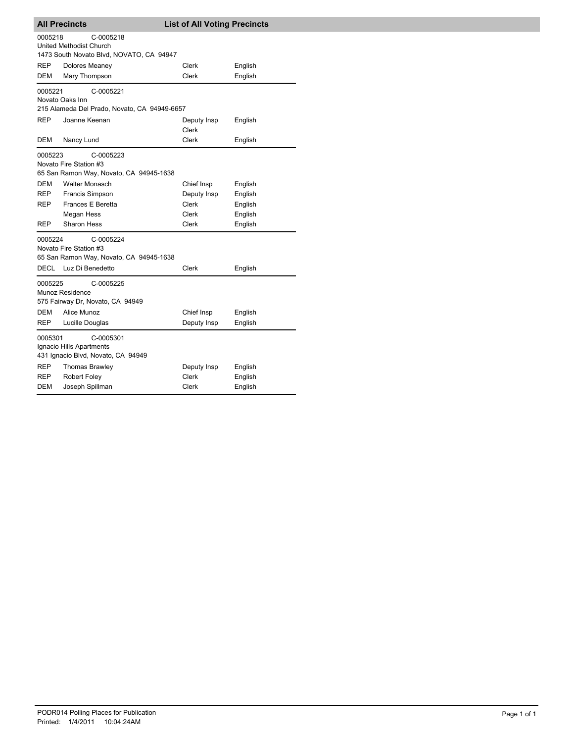| <b>All Precincts</b>                                                                      |                                                                                                    | <b>List of All Voting Precincts</b> |                    |  |  |  |
|-------------------------------------------------------------------------------------------|----------------------------------------------------------------------------------------------------|-------------------------------------|--------------------|--|--|--|
| 0005218                                                                                   | C-0005218<br><b>United Methodist Church</b>                                                        |                                     |                    |  |  |  |
| 1473 South Novato Blvd, NOVATO, CA 94947                                                  |                                                                                                    |                                     |                    |  |  |  |
| REP                                                                                       | Dolores Meaney                                                                                     | Clerk                               | English            |  |  |  |
| <b>DEM</b>                                                                                | Mary Thompson                                                                                      | Clerk                               | English            |  |  |  |
| 0005221<br>C-0005221<br>Novato Oaks Inn<br>215 Alameda Del Prado, Novato, CA 94949-6657   |                                                                                                    |                                     |                    |  |  |  |
| <b>REP</b>                                                                                | Joanne Keenan                                                                                      | Deputy Insp<br><b>Clerk</b>         | English            |  |  |  |
| <b>DEM</b>                                                                                | Nancy Lund                                                                                         | <b>Clerk</b>                        | English            |  |  |  |
| 0005223<br>C-0005223<br>Novato Fire Station #3<br>65 San Ramon Way, Novato, CA 94945-1638 |                                                                                                    |                                     |                    |  |  |  |
| DEM                                                                                       | <b>Walter Monasch</b>                                                                              | Chief Insp                          | English            |  |  |  |
| <b>REP</b>                                                                                | Francis Simpson                                                                                    | Deputy Insp                         | English            |  |  |  |
| REP                                                                                       | Frances E Beretta                                                                                  | <b>Clerk</b>                        | English            |  |  |  |
|                                                                                           | Megan Hess                                                                                         | Clerk                               | English            |  |  |  |
| REP                                                                                       | Sharon Hess                                                                                        | Clerk                               | English            |  |  |  |
| 0005224<br>C-0005224<br>Novato Fire Station #3<br>65 San Ramon Way, Novato, CA 94945-1638 |                                                                                                    |                                     |                    |  |  |  |
| DECL                                                                                      | Luz Di Benedetto                                                                                   | Clerk                               | English            |  |  |  |
| 0005225<br>DEM<br><b>REP</b>                                                              | C-0005225<br>Munoz Residence<br>575 Fairway Dr, Novato, CA 94949<br>Alice Munoz<br>Lucille Douglas | Chief Insp<br>Deputy Insp           | English<br>English |  |  |  |
| 0005301<br>C-0005301<br>Ignacio Hills Apartments<br>431 Ignacio Blvd, Novato, CA 94949    |                                                                                                    |                                     |                    |  |  |  |
| REP                                                                                       | Thomas Brawley                                                                                     | Deputy Insp                         | English            |  |  |  |
| REP                                                                                       | Robert Foley                                                                                       | <b>Clerk</b>                        | English            |  |  |  |
| DEM                                                                                       | Joseph Spillman                                                                                    | Clerk                               | English            |  |  |  |